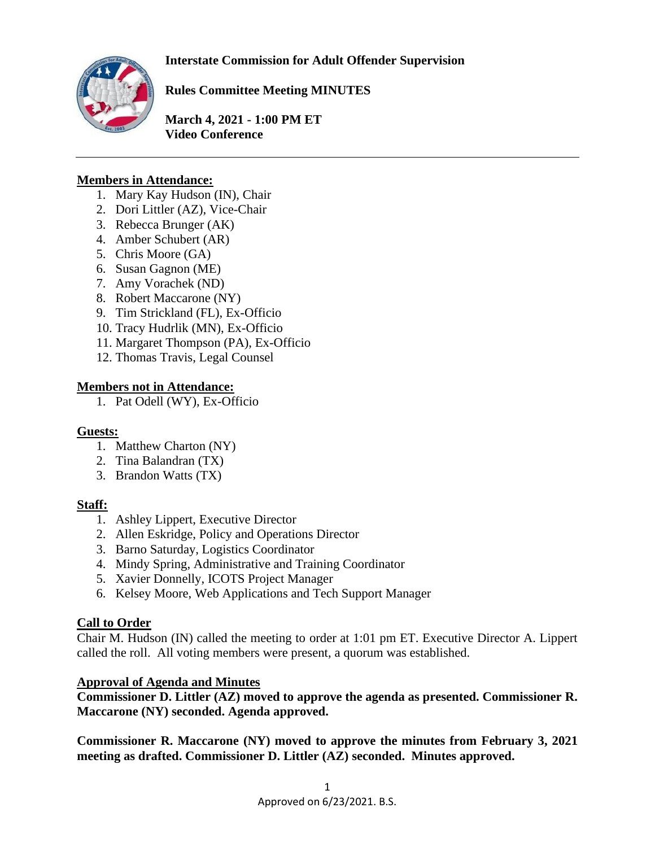**Interstate Commission for Adult Offender Supervision**



**Rules Committee Meeting MINUTES**

**March 4, 2021 - 1:00 PM ET Video Conference** 

## **Members in Attendance:**

- 1. Mary Kay Hudson (IN), Chair
- 2. Dori Littler (AZ), Vice-Chair
- 3. Rebecca Brunger (AK)
- 4. Amber Schubert (AR)
- 5. Chris Moore (GA)
- 6. Susan Gagnon (ME)
- 7. Amy Vorachek (ND)
- 8. Robert Maccarone (NY)
- 9. Tim Strickland (FL), Ex-Officio
- 10. Tracy Hudrlik (MN), Ex-Officio
- 11. Margaret Thompson (PA), Ex-Officio
- 12. Thomas Travis, Legal Counsel

## **Members not in Attendance:**

1. Pat Odell (WY), Ex-Officio

## **Guests:**

- $\overline{1}$ . Matthew Charton (NY)
- 2. Tina Balandran (TX)
- 3. Brandon Watts (TX)

## **Staff:**

- 1. Ashley Lippert, Executive Director
- 2. Allen Eskridge, Policy and Operations Director
- 3. Barno Saturday, Logistics Coordinator
- 4. Mindy Spring, Administrative and Training Coordinator
- 5. Xavier Donnelly, ICOTS Project Manager
- 6. Kelsey Moore, Web Applications and Tech Support Manager

# **Call to Order**

Chair M. Hudson (IN) called the meeting to order at 1:01 pm ET. Executive Director A. Lippert called the roll. All voting members were present, a quorum was established.

## **Approval of Agenda and Minutes**

**Commissioner D. Littler (AZ) moved to approve the agenda as presented. Commissioner R. Maccarone (NY) seconded. Agenda approved.**

**Commissioner R. Maccarone (NY) moved to approve the minutes from February 3, 2021 meeting as drafted. Commissioner D. Littler (AZ) seconded. Minutes approved.**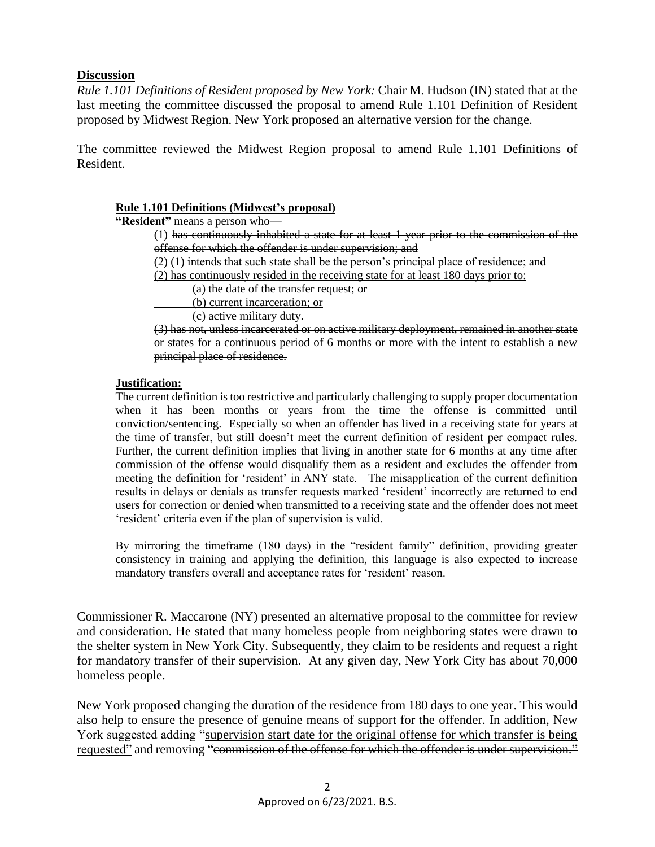### **Discussion**

*Rule 1.101 Definitions of Resident proposed by New York:* Chair M. Hudson (IN) stated that at the last meeting the committee discussed the proposal to amend Rule 1.101 Definition of Resident proposed by Midwest Region. New York proposed an alternative version for the change.

The committee reviewed the Midwest Region proposal to amend Rule 1.101 Definitions of Resident.

#### **Rule 1.101 Definitions (Midwest's proposal)**

**"Resident"** means a person who—

(1) has continuously inhabited a state for at least 1 year prior to the commission of the offense for which the offender is under supervision; and

 $(2)$  (1) intends that such state shall be the person's principal place of residence; and

(2) has continuously resided in the receiving state for at least 180 days prior to:

(a) the date of the transfer request; or

(b) current incarceration; or

(c) active military duty.

(3) has not, unless incarcerated or on active military deployment, remained in another state or states for a continuous period of 6 months or more with the intent to establish a new principal place of residence.

#### **Justification:**

The current definition is too restrictive and particularly challenging to supply proper documentation when it has been months or years from the time the offense is committed until conviction/sentencing. Especially so when an offender has lived in a receiving state for years at the time of transfer, but still doesn't meet the current definition of resident per compact rules. Further, the current definition implies that living in another state for 6 months at any time after commission of the offense would disqualify them as a resident and excludes the offender from meeting the definition for 'resident' in ANY state. The misapplication of the current definition results in delays or denials as transfer requests marked 'resident' incorrectly are returned to end users for correction or denied when transmitted to a receiving state and the offender does not meet 'resident' criteria even if the plan of supervision is valid.

By mirroring the timeframe (180 days) in the "resident family" definition, providing greater consistency in training and applying the definition, this language is also expected to increase mandatory transfers overall and acceptance rates for 'resident' reason.

Commissioner R. Maccarone (NY) presented an alternative proposal to the committee for review and consideration. He stated that many homeless people from neighboring states were drawn to the shelter system in New York City. Subsequently, they claim to be residents and request a right for mandatory transfer of their supervision. At any given day, New York City has about 70,000 homeless people.

New York proposed changing the duration of the residence from 180 days to one year. This would also help to ensure the presence of genuine means of support for the offender. In addition, New York suggested adding "supervision start date for the original offense for which transfer is being requested" and removing "commission of the offense for which the offender is under supervision."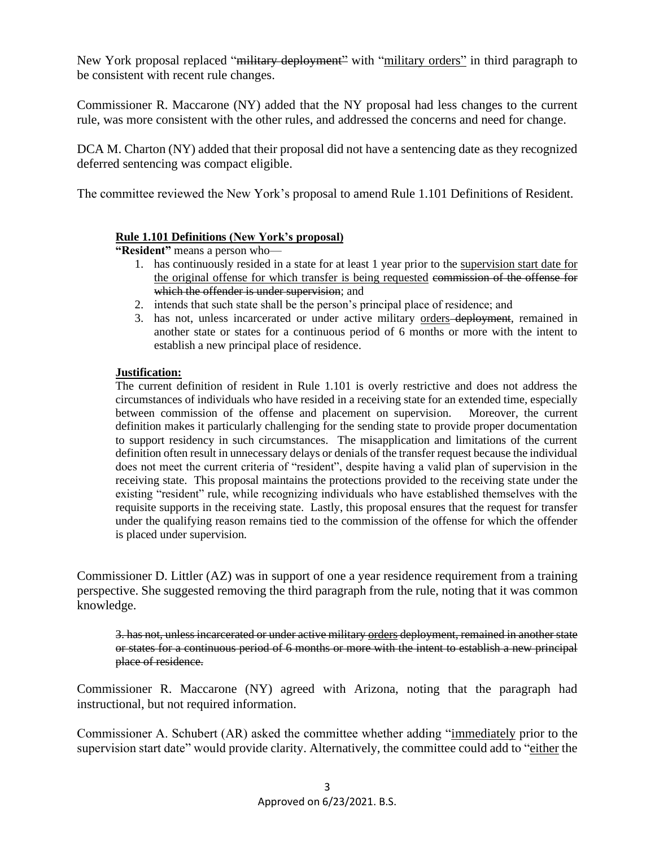New York proposal replaced "military deployment" with "military orders" in third paragraph to be consistent with recent rule changes.

Commissioner R. Maccarone (NY) added that the NY proposal had less changes to the current rule, was more consistent with the other rules, and addressed the concerns and need for change.

DCA M. Charton (NY) added that their proposal did not have a sentencing date as they recognized deferred sentencing was compact eligible.

The committee reviewed the New York's proposal to amend Rule 1.101 Definitions of Resident.

### **Rule 1.101 Definitions (New York's proposal)**

**"Resident"** means a person who—

- 1. has continuously resided in a state for at least 1 year prior to the supervision start date for the original offense for which transfer is being requested commission of the offense for which the offender is under supervision; and
- 2. intends that such state shall be the person's principal place of residence; and
- 3. has not, unless incarcerated or under active military orders-deployment, remained in another state or states for a continuous period of 6 months or more with the intent to establish a new principal place of residence.

### **Justification:**

The current definition of resident in Rule 1.101 is overly restrictive and does not address the circumstances of individuals who have resided in a receiving state for an extended time, especially between commission of the offense and placement on supervision. Moreover, the current definition makes it particularly challenging for the sending state to provide proper documentation to support residency in such circumstances. The misapplication and limitations of the current definition often result in unnecessary delays or denials of the transfer request because the individual does not meet the current criteria of "resident", despite having a valid plan of supervision in the receiving state. This proposal maintains the protections provided to the receiving state under the existing "resident" rule, while recognizing individuals who have established themselves with the requisite supports in the receiving state. Lastly, this proposal ensures that the request for transfer under the qualifying reason remains tied to the commission of the offense for which the offender is placed under supervision.

Commissioner D. Littler (AZ) was in support of one a year residence requirement from a training perspective. She suggested removing the third paragraph from the rule, noting that it was common knowledge.

3. has not, unless incarcerated or under active military orders deployment, remained in another state or states for a continuous period of 6 months or more with the intent to establish a new principal place of residence.

Commissioner R. Maccarone (NY) agreed with Arizona, noting that the paragraph had instructional, but not required information.

Commissioner A. Schubert (AR) asked the committee whether adding "immediately prior to the supervision start date" would provide clarity. Alternatively, the committee could add to "either the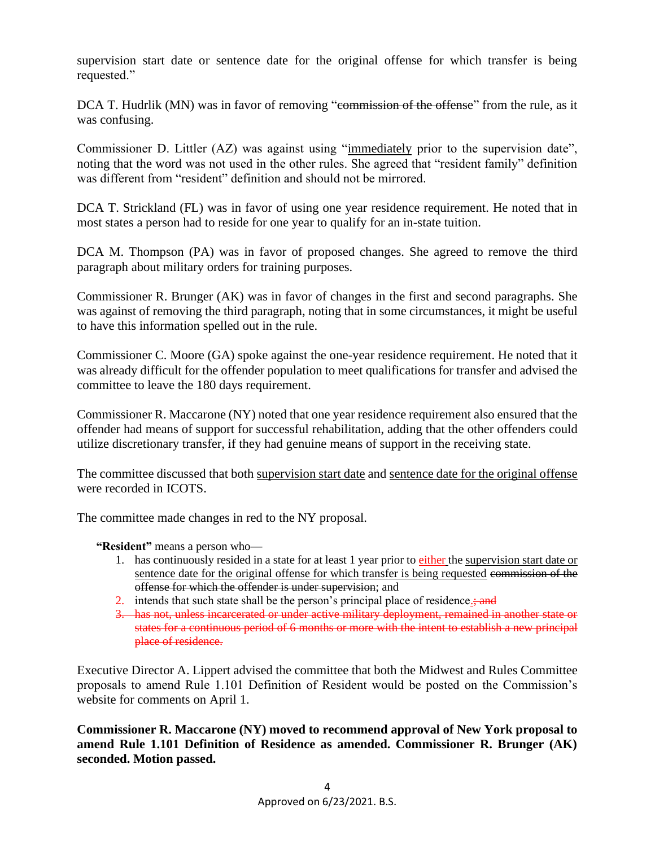supervision start date or sentence date for the original offense for which transfer is being requested."

DCA T. Hudrlik (MN) was in favor of removing "commission of the offense" from the rule, as it was confusing.

Commissioner D. Littler (AZ) was against using "immediately prior to the supervision date", noting that the word was not used in the other rules. She agreed that "resident family" definition was different from "resident" definition and should not be mirrored.

DCA T. Strickland (FL) was in favor of using one year residence requirement. He noted that in most states a person had to reside for one year to qualify for an in-state tuition.

DCA M. Thompson (PA) was in favor of proposed changes. She agreed to remove the third paragraph about military orders for training purposes.

Commissioner R. Brunger (AK) was in favor of changes in the first and second paragraphs. She was against of removing the third paragraph, noting that in some circumstances, it might be useful to have this information spelled out in the rule.

Commissioner C. Moore (GA) spoke against the one-year residence requirement. He noted that it was already difficult for the offender population to meet qualifications for transfer and advised the committee to leave the 180 days requirement.

Commissioner R. Maccarone (NY) noted that one year residence requirement also ensured that the offender had means of support for successful rehabilitation, adding that the other offenders could utilize discretionary transfer, if they had genuine means of support in the receiving state.

The committee discussed that both supervision start date and sentence date for the original offense were recorded in ICOTS.

The committee made changes in red to the NY proposal.

**"Resident"** means a person who—

- 1. has continuously resided in a state for at least 1 year prior to either the supervision start date or sentence date for the original offense for which transfer is being requested commission of the offense for which the offender is under supervision; and
- 2. intends that such state shall be the person's principal place of residence.; and
- 3. has not, unless incarcerated or under active military deployment, remained in another state or states for a continuous period of 6 months or more with the intent to establish a new principal place of residence.

Executive Director A. Lippert advised the committee that both the Midwest and Rules Committee proposals to amend Rule 1.101 Definition of Resident would be posted on the Commission's website for comments on April 1.

**Commissioner R. Maccarone (NY) moved to recommend approval of New York proposal to amend Rule 1.101 Definition of Residence as amended. Commissioner R. Brunger (AK) seconded. Motion passed.**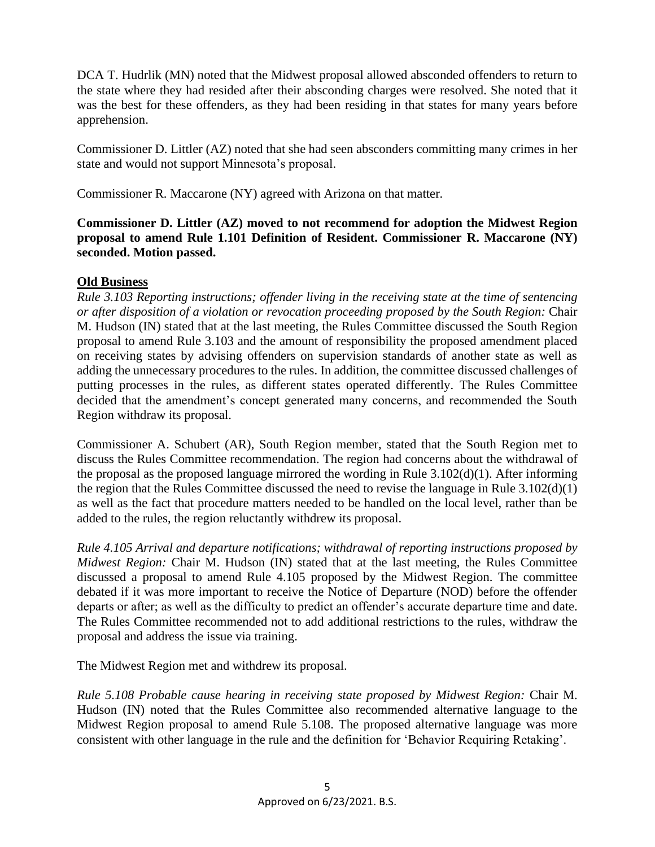DCA T. Hudrlik (MN) noted that the Midwest proposal allowed absconded offenders to return to the state where they had resided after their absconding charges were resolved. She noted that it was the best for these offenders, as they had been residing in that states for many years before apprehension.

Commissioner D. Littler (AZ) noted that she had seen absconders committing many crimes in her state and would not support Minnesota's proposal.

Commissioner R. Maccarone (NY) agreed with Arizona on that matter.

**Commissioner D. Littler (AZ) moved to not recommend for adoption the Midwest Region proposal to amend Rule 1.101 Definition of Resident. Commissioner R. Maccarone (NY) seconded. Motion passed.** 

### **Old Business**

*Rule 3.103 Reporting instructions; offender living in the receiving state at the time of sentencing or after disposition of a violation or revocation proceeding proposed by the South Region:* Chair M. Hudson (IN) stated that at the last meeting, the Rules Committee discussed the South Region proposal to amend Rule 3.103 and the amount of responsibility the proposed amendment placed on receiving states by advising offenders on supervision standards of another state as well as adding the unnecessary procedures to the rules. In addition, the committee discussed challenges of putting processes in the rules, as different states operated differently. The Rules Committee decided that the amendment's concept generated many concerns, and recommended the South Region withdraw its proposal.

Commissioner A. Schubert (AR), South Region member, stated that the South Region met to discuss the Rules Committee recommendation. The region had concerns about the withdrawal of the proposal as the proposed language mirrored the wording in Rule 3.102(d)(1). After informing the region that the Rules Committee discussed the need to revise the language in Rule 3.102(d)(1) as well as the fact that procedure matters needed to be handled on the local level, rather than be added to the rules, the region reluctantly withdrew its proposal.

*Rule 4.105 Arrival and departure notifications; withdrawal of reporting instructions proposed by Midwest Region:* Chair M. Hudson (IN) stated that at the last meeting, the Rules Committee discussed a proposal to amend Rule 4.105 proposed by the Midwest Region. The committee debated if it was more important to receive the Notice of Departure (NOD) before the offender departs or after; as well as the difficulty to predict an offender's accurate departure time and date. The Rules Committee recommended not to add additional restrictions to the rules, withdraw the proposal and address the issue via training.

The Midwest Region met and withdrew its proposal.

*Rule 5.108 Probable cause hearing in receiving state proposed by Midwest Region:* Chair M. Hudson (IN) noted that the Rules Committee also recommended alternative language to the Midwest Region proposal to amend Rule 5.108. The proposed alternative language was more consistent with other language in the rule and the definition for 'Behavior Requiring Retaking'.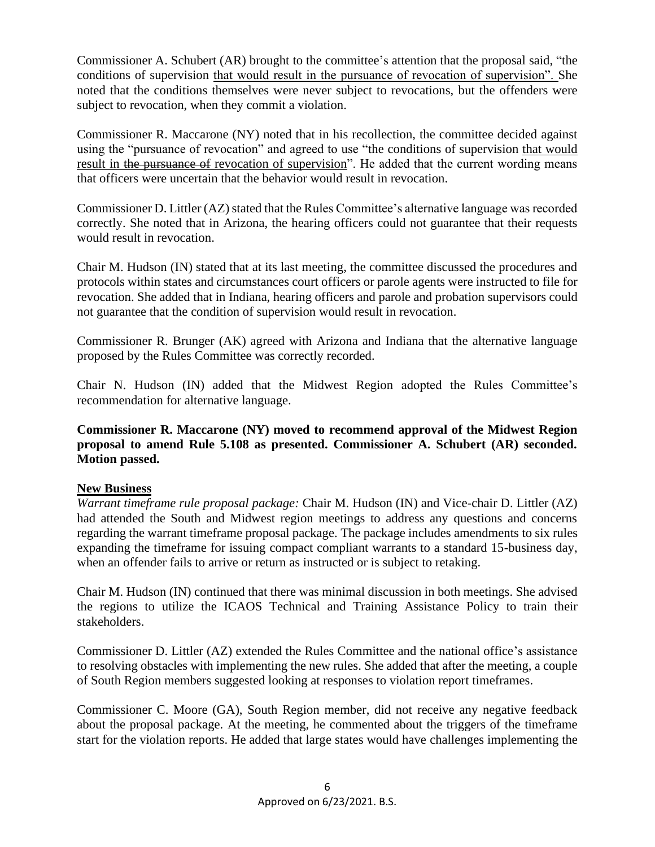Commissioner A. Schubert (AR) brought to the committee's attention that the proposal said, "the conditions of supervision that would result in the pursuance of revocation of supervision". She noted that the conditions themselves were never subject to revocations, but the offenders were subject to revocation, when they commit a violation.

Commissioner R. Maccarone (NY) noted that in his recollection, the committee decided against using the "pursuance of revocation" and agreed to use "the conditions of supervision that would result in the pursuance of revocation of supervision". He added that the current wording means that officers were uncertain that the behavior would result in revocation.

Commissioner D. Littler (AZ) stated that the Rules Committee's alternative language was recorded correctly. She noted that in Arizona, the hearing officers could not guarantee that their requests would result in revocation.

Chair M. Hudson (IN) stated that at its last meeting, the committee discussed the procedures and protocols within states and circumstances court officers or parole agents were instructed to file for revocation. She added that in Indiana, hearing officers and parole and probation supervisors could not guarantee that the condition of supervision would result in revocation.

Commissioner R. Brunger (AK) agreed with Arizona and Indiana that the alternative language proposed by the Rules Committee was correctly recorded.

Chair N. Hudson (IN) added that the Midwest Region adopted the Rules Committee's recommendation for alternative language.

**Commissioner R. Maccarone (NY) moved to recommend approval of the Midwest Region proposal to amend Rule 5.108 as presented. Commissioner A. Schubert (AR) seconded. Motion passed.** 

### **New Business**

*Warrant timeframe rule proposal package:* Chair M. Hudson (IN) and Vice-chair D. Littler (AZ) had attended the South and Midwest region meetings to address any questions and concerns regarding the warrant timeframe proposal package. The package includes amendments to six rules expanding the timeframe for issuing compact compliant warrants to a standard 15-business day, when an offender fails to arrive or return as instructed or is subject to retaking.

Chair M. Hudson (IN) continued that there was minimal discussion in both meetings. She advised the regions to utilize the ICAOS Technical and Training Assistance Policy to train their stakeholders.

Commissioner D. Littler (AZ) extended the Rules Committee and the national office's assistance to resolving obstacles with implementing the new rules. She added that after the meeting, a couple of South Region members suggested looking at responses to violation report timeframes.

Commissioner C. Moore (GA), South Region member, did not receive any negative feedback about the proposal package. At the meeting, he commented about the triggers of the timeframe start for the violation reports. He added that large states would have challenges implementing the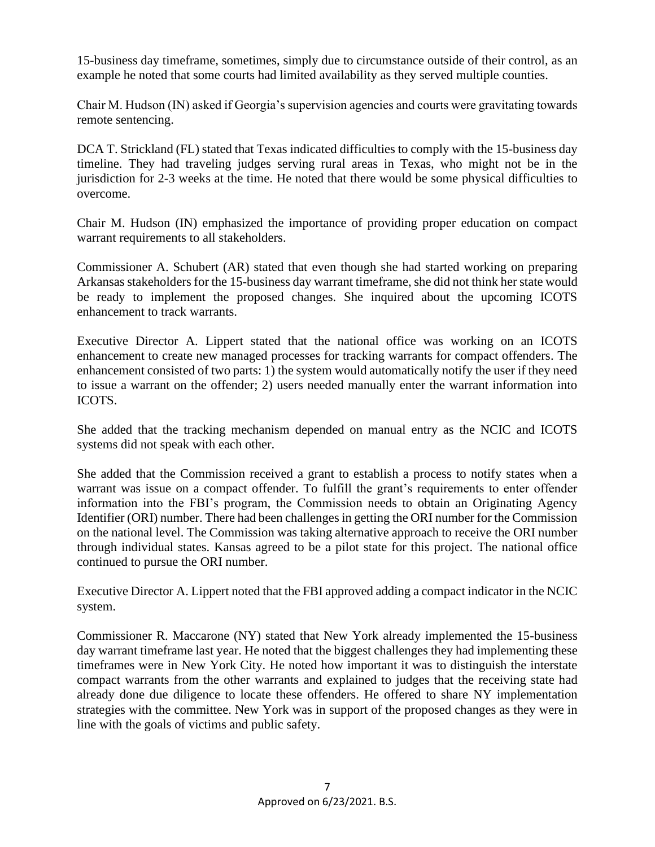15-business day timeframe, sometimes, simply due to circumstance outside of their control, as an example he noted that some courts had limited availability as they served multiple counties.

Chair M. Hudson (IN) asked if Georgia's supervision agencies and courts were gravitating towards remote sentencing.

DCA T. Strickland (FL) stated that Texas indicated difficulties to comply with the 15-business day timeline. They had traveling judges serving rural areas in Texas, who might not be in the jurisdiction for 2-3 weeks at the time. He noted that there would be some physical difficulties to overcome.

Chair M. Hudson (IN) emphasized the importance of providing proper education on compact warrant requirements to all stakeholders.

Commissioner A. Schubert (AR) stated that even though she had started working on preparing Arkansas stakeholders for the 15-business day warrant timeframe, she did not think her state would be ready to implement the proposed changes. She inquired about the upcoming ICOTS enhancement to track warrants.

Executive Director A. Lippert stated that the national office was working on an ICOTS enhancement to create new managed processes for tracking warrants for compact offenders. The enhancement consisted of two parts: 1) the system would automatically notify the user if they need to issue a warrant on the offender; 2) users needed manually enter the warrant information into ICOTS.

She added that the tracking mechanism depended on manual entry as the NCIC and ICOTS systems did not speak with each other.

She added that the Commission received a grant to establish a process to notify states when a warrant was issue on a compact offender. To fulfill the grant's requirements to enter offender information into the FBI's program, the Commission needs to obtain an Originating Agency Identifier (ORI) number. There had been challenges in getting the ORI number for the Commission on the national level. The Commission was taking alternative approach to receive the ORI number through individual states. Kansas agreed to be a pilot state for this project. The national office continued to pursue the ORI number.

Executive Director A. Lippert noted that the FBI approved adding a compact indicator in the NCIC system.

Commissioner R. Maccarone (NY) stated that New York already implemented the 15-business day warrant timeframe last year. He noted that the biggest challenges they had implementing these timeframes were in New York City. He noted how important it was to distinguish the interstate compact warrants from the other warrants and explained to judges that the receiving state had already done due diligence to locate these offenders. He offered to share NY implementation strategies with the committee. New York was in support of the proposed changes as they were in line with the goals of victims and public safety.